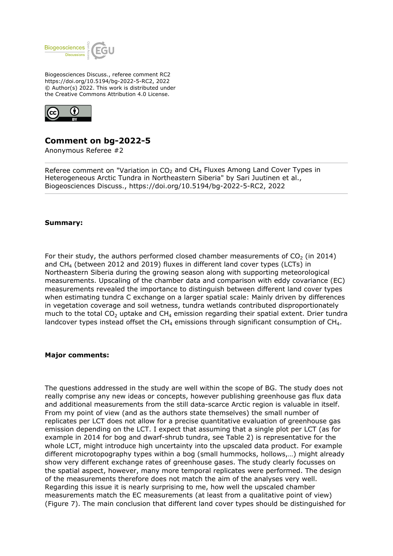

Biogeosciences Discuss., referee comment RC2 https://doi.org/10.5194/bg-2022-5-RC2, 2022 © Author(s) 2022. This work is distributed under the Creative Commons Attribution 4.0 License.



## **Comment on bg-2022-5**

Anonymous Referee #2

Referee comment on "Variation in  $CO<sub>2</sub>$  and  $CH<sub>4</sub>$  Fluxes Among Land Cover Types in Heterogeneous Arctic Tundra in Northeastern Siberia" by Sari Juutinen et al., Biogeosciences Discuss., https://doi.org/10.5194/bg-2022-5-RC2, 2022

## **Summary:**

For their study, the authors performed closed chamber measurements of  $CO<sub>2</sub>$  (in 2014) and  $CH<sub>4</sub>$  (between 2012 and 2019) fluxes in different land cover types (LCTs) in Northeastern Siberia during the growing season along with supporting meteorological measurements. Upscaling of the chamber data and comparison with eddy covariance (EC) measurements revealed the importance to distinguish between different land cover types when estimating tundra C exchange on a larger spatial scale: Mainly driven by differences in vegetation coverage and soil wetness, tundra wetlands contributed disproportionately much to the total  $CO<sub>2</sub>$  uptake and  $CH<sub>4</sub>$  emission regarding their spatial extent. Drier tundra landcover types instead offset the  $CH<sub>4</sub>$  emissions through significant consumption of  $CH<sub>4</sub>$ .

## **Major comments:**

The questions addressed in the study are well within the scope of BG. The study does not really comprise any new ideas or concepts, however publishing greenhouse gas flux data and additional measurements from the still data-scarce Arctic region is valuable in itself. From my point of view (and as the authors state themselves) the small number of replicates per LCT does not allow for a precise quantitative evaluation of greenhouse gas emission depending on the LCT. I expect that assuming that a single plot per LCT (as for example in 2014 for bog and dwarf-shrub tundra, see Table 2) is representative for the whole LCT, might introduce high uncertainty into the upscaled data product. For example different microtopography types within a bog (small hummocks, hollows,…) might already show very different exchange rates of greenhouse gases. The study clearly focusses on the spatial aspect, however, many more temporal replicates were performed. The design of the measurements therefore does not match the aim of the analyses very well. Regarding this issue it is nearly surprising to me, how well the upscaled chamber measurements match the EC measurements (at least from a qualitative point of view) (Figure 7). The main conclusion that different land cover types should be distinguished for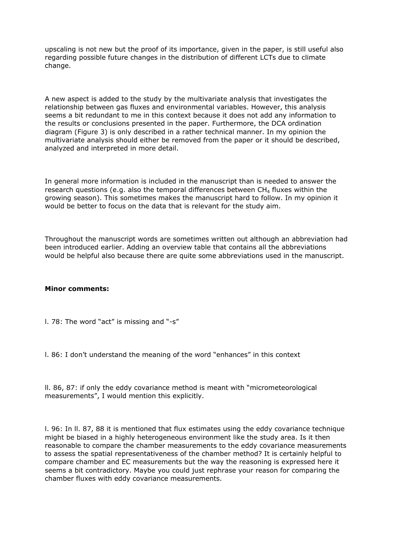upscaling is not new but the proof of its importance, given in the paper, is still useful also regarding possible future changes in the distribution of different LCTs due to climate change.

A new aspect is added to the study by the multivariate analysis that investigates the relationship between gas fluxes and environmental variables. However, this analysis seems a bit redundant to me in this context because it does not add any information to the results or conclusions presented in the paper. Furthermore, the DCA ordination diagram (Figure 3) is only described in a rather technical manner. In my opinion the multivariate analysis should either be removed from the paper or it should be described, analyzed and interpreted in more detail.

In general more information is included in the manuscript than is needed to answer the research questions (e.g. also the temporal differences between  $CH_4$  fluxes within the growing season). This sometimes makes the manuscript hard to follow. In my opinion it would be better to focus on the data that is relevant for the study aim.

Throughout the manuscript words are sometimes written out although an abbreviation had been introduced earlier. Adding an overview table that contains all the abbreviations would be helpful also because there are quite some abbreviations used in the manuscript.

## **Minor comments:**

l. 78: The word "act" is missing and "-s"

l. 86: I don't understand the meaning of the word "enhances" in this context

ll. 86, 87: if only the eddy covariance method is meant with "micrometeorological measurements", I would mention this explicitly.

l. 96: In ll. 87, 88 it is mentioned that flux estimates using the eddy covariance technique might be biased in a highly heterogeneous environment like the study area. Is it then reasonable to compare the chamber measurements to the eddy covariance measurements to assess the spatial representativeness of the chamber method? It is certainly helpful to compare chamber and EC measurements but the way the reasoning is expressed here it seems a bit contradictory. Maybe you could just rephrase your reason for comparing the chamber fluxes with eddy covariance measurements.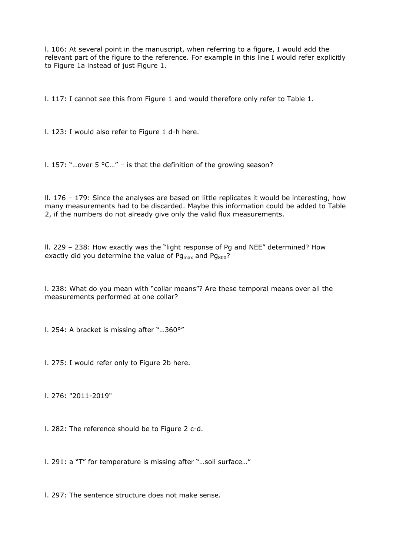l. 106: At several point in the manuscript, when referring to a figure, I would add the relevant part of the figure to the reference. For example in this line I would refer explicitly to Figure 1a instead of just Figure 1.

l. 117: I cannot see this from Figure 1 and would therefore only refer to Table 1.

l. 123: I would also refer to Figure 1 d-h here.

l. 157: "…over 5 °C…" – is that the definition of the growing season?

ll. 176 – 179: Since the analyses are based on little replicates it would be interesting, how many measurements had to be discarded. Maybe this information could be added to Table 2, if the numbers do not already give only the valid flux measurements.

ll. 229 – 238: How exactly was the "light response of Pg and NEE" determined? How exactly did you determine the value of  $Pg_{max}$  and  $Pg_{800}$ ?

l. 238: What do you mean with "collar means"? Are these temporal means over all the measurements performed at one collar?

l. 254: A bracket is missing after "…360°"

l. 275: I would refer only to Figure 2b here.

l. 276: "2011-2019"

l. 282: The reference should be to Figure 2 c-d.

l. 291: a "T" for temperature is missing after "…soil surface…"

l. 297: The sentence structure does not make sense.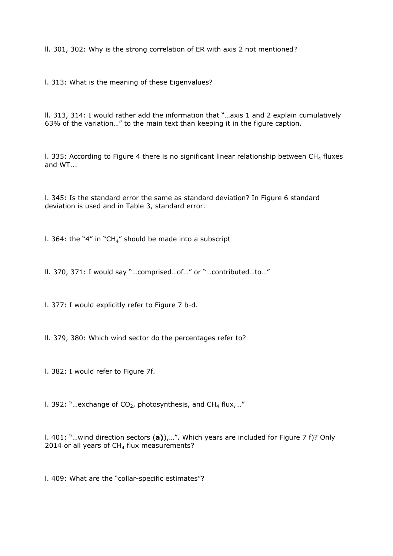ll. 301, 302: Why is the strong correlation of ER with axis 2 not mentioned?

l. 313: What is the meaning of these Eigenvalues?

ll. 313, 314: I would rather add the information that "…axis 1 and 2 explain cumulatively 63% of the variation…" to the main text than keeping it in the figure caption.

I. 335: According to Figure 4 there is no significant linear relationship between  $CH<sub>4</sub>$  fluxes and WT...

l. 345: Is the standard error the same as standard deviation? In Figure 6 standard deviation is used and in Table 3, standard error.

l. 364: the "4" in "CH<sub>4</sub>" should be made into a subscript

ll. 370, 371: I would say "…comprised…of…" or "…contributed…to…"

l. 377: I would explicitly refer to Figure 7 b-d.

ll. 379, 380: Which wind sector do the percentages refer to?

l. 382: I would refer to Figure 7f.

l. 392: "...exchange of  $CO<sub>2</sub>$ , photosynthesis, and CH<sub>4</sub> flux,..."

l. 401: "…wind direction sectors (**a)**),…". Which years are included for Figure 7 f)? Only 2014 or all years of  $CH<sub>4</sub>$  flux measurements?

l. 409: What are the "collar-specific estimates"?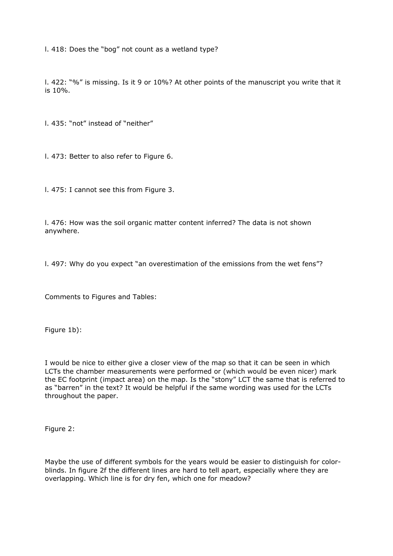l. 418: Does the "bog" not count as a wetland type?

l. 422: "%" is missing. Is it 9 or 10%? At other points of the manuscript you write that it is 10%.

l. 435: "not" instead of "neither"

l. 473: Better to also refer to Figure 6.

l. 475: I cannot see this from Figure 3.

l. 476: How was the soil organic matter content inferred? The data is not shown anywhere.

l. 497: Why do you expect "an overestimation of the emissions from the wet fens"?

Comments to Figures and Tables:

Figure 1b):

I would be nice to either give a closer view of the map so that it can be seen in which LCTs the chamber measurements were performed or (which would be even nicer) mark the EC footprint (impact area) on the map. Is the "stony" LCT the same that is referred to as "barren" in the text? It would be helpful if the same wording was used for the LCTs throughout the paper.

Figure 2:

Maybe the use of different symbols for the years would be easier to distinguish for colorblinds. In figure 2f the different lines are hard to tell apart, especially where they are overlapping. Which line is for dry fen, which one for meadow?